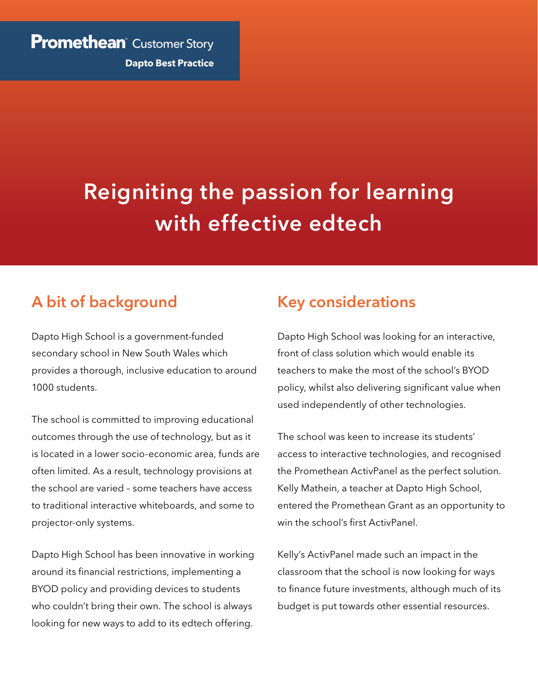### **Promethean** Customer Story

**Dapto Best Practice**

# **Reigniting the passion for learning with effective edtech**

## **A bit of background**

Dapto High School is a government-funded secondary school in New South Wales which provides a thorough, inclusive education to around 1000 students.

The school is committed to improving educational outcomes through the use of technology, but as it is located in a lower socio-economic area, funds are often limited. As a result, technology provisions at the school are varied – some teachers have access to traditional interactive whiteboards, and some to projector-only systems.

Dapto High School has been innovative in working around its financial restrictions, implementing a BYOD policy and providing devices to students who couldn't bring their own. The school is always looking for new ways to add to its edtech offering.

## **Key considerations**

Dapto High School was looking for an interactive, front of class solution which would enable its teachers to make the most of the school's BYOD policy, whilst also delivering significant value when used independently of other technologies.

The school was keen to increase its students' access to interactive technologies, and recognised the Promethean ActivPanel as the perfect solution. Kelly Mathein, a teacher at Dapto High School, entered the Promethean Grant as an opportunity to win the school's first ActivPanel.

Kelly's ActivPanel made such an impact in the classroom that the school is now looking for ways to finance future investments, although much of its budget is put towards other essential resources.